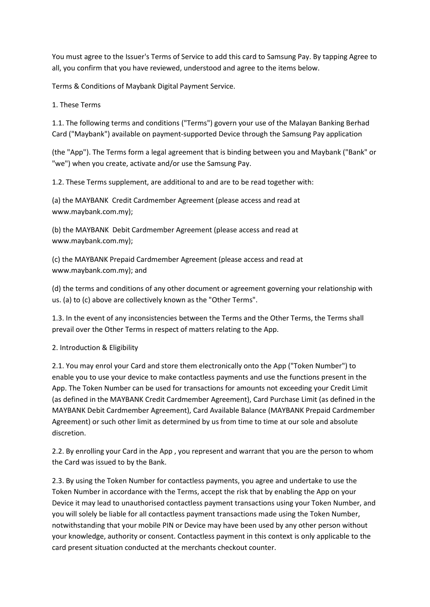You must agree to the Issuer's Terms of Service to add this card to Samsung Pay. By tapping Agree to all, you confirm that you have reviewed, understood and agree to the items below.

Terms & Conditions of Maybank Digital Payment Service.

1. These Terms

1.1. The following terms and conditions ("Terms") govern your use of the Malayan Banking Berhad Card ("Maybank") available on payment-supported Device through the Samsung Pay application

(the "App"). The Terms form a legal agreement that is binding between you and Maybank ("Bank" or "we") when you create, activate and/or use the Samsung Pay.

1.2. These Terms supplement, are additional to and are to be read together with:

(a) the MAYBANK Credit Cardmember Agreement (please access and read at www.maybank.com.my);

(b) the MAYBANK Debit Cardmember Agreement (please access and read at www.maybank.com.my);

(c) the MAYBANK Prepaid Cardmember Agreement (please access and read at www.maybank.com.my); and

(d) the terms and conditions of any other document or agreement governing your relationship with us. (a) to (c) above are collectively known as the "Other Terms".

1.3. In the event of any inconsistencies between the Terms and the Other Terms, the Terms shall prevail over the Other Terms in respect of matters relating to the App.

# 2. Introduction & Eligibility

2.1. You may enrol your Card and store them electronically onto the App ("Token Number") to enable you to use your device to make contactless payments and use the functions present in the App. The Token Number can be used for transactions for amounts not exceeding your Credit Limit (as defined in the MAYBANK Credit Cardmember Agreement), Card Purchase Limit (as defined in the MAYBANK Debit Cardmember Agreement), Card Available Balance (MAYBANK Prepaid Cardmember Agreement) or such other limit as determined by us from time to time at our sole and absolute discretion.

2.2. By enrolling your Card in the App , you represent and warrant that you are the person to whom the Card was issued to by the Bank.

2.3. By using the Token Number for contactless payments, you agree and undertake to use the Token Number in accordance with the Terms, accept the risk that by enabling the App on your Device it may lead to unauthorised contactless payment transactions using your Token Number, and you will solely be liable for all contactless payment transactions made using the Token Number, notwithstanding that your mobile PIN or Device may have been used by any other person without your knowledge, authority or consent. Contactless payment in this context is only applicable to the card present situation conducted at the merchants checkout counter.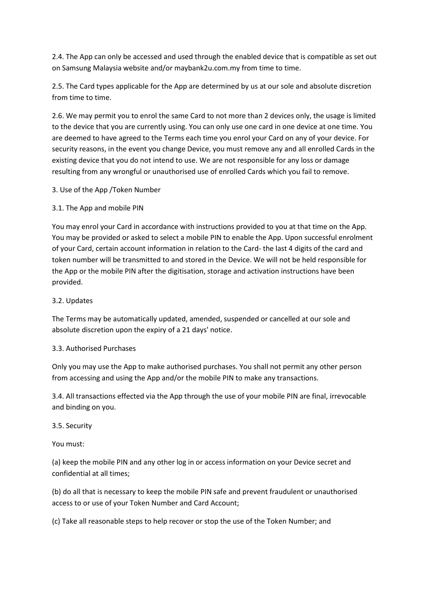2.4. The App can only be accessed and used through the enabled device that is compatible as set out on Samsung Malaysia website and/or maybank2u.com.my from time to time.

2.5. The Card types applicable for the App are determined by us at our sole and absolute discretion from time to time.

2.6. We may permit you to enrol the same Card to not more than 2 devices only, the usage is limited to the device that you are currently using. You can only use one card in one device at one time. You are deemed to have agreed to the Terms each time you enrol your Card on any of your device. For security reasons, in the event you change Device, you must remove any and all enrolled Cards in the existing device that you do not intend to use. We are not responsible for any loss or damage resulting from any wrongful or unauthorised use of enrolled Cards which you fail to remove.

#### 3. Use of the App /Token Number

#### 3.1. The App and mobile PIN

You may enrol your Card in accordance with instructions provided to you at that time on the App. You may be provided or asked to select a mobile PIN to enable the App. Upon successful enrolment of your Card, certain account information in relation to the Card- the last 4 digits of the card and token number will be transmitted to and stored in the Device. We will not be held responsible for the App or the mobile PIN after the digitisation, storage and activation instructions have been provided.

#### 3.2. Updates

The Terms may be automatically updated, amended, suspended or cancelled at our sole and absolute discretion upon the expiry of a 21 days' notice.

#### 3.3. Authorised Purchases

Only you may use the App to make authorised purchases. You shall not permit any other person from accessing and using the App and/or the mobile PIN to make any transactions.

3.4. All transactions effected via the App through the use of your mobile PIN are final, irrevocable and binding on you.

#### 3.5. Security

# You must:

(a) keep the mobile PIN and any other log in or access information on your Device secret and confidential at all times;

(b) do all that is necessary to keep the mobile PIN safe and prevent fraudulent or unauthorised access to or use of your Token Number and Card Account;

(c) Take all reasonable steps to help recover or stop the use of the Token Number; and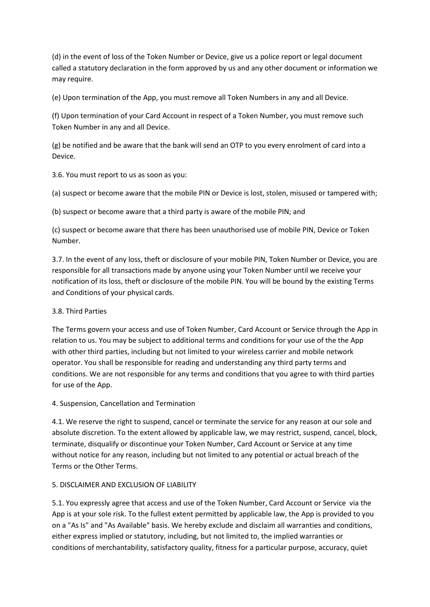(d) in the event of loss of the Token Number or Device, give us a police report or legal document called a statutory declaration in the form approved by us and any other document or information we may require.

(e) Upon termination of the App, you must remove all Token Numbers in any and all Device.

(f) Upon termination of your Card Account in respect of a Token Number, you must remove such Token Number in any and all Device.

(g) be notified and be aware that the bank will send an OTP to you every enrolment of card into a Device.

3.6. You must report to us as soon as you:

(a) suspect or become aware that the mobile PIN or Device is lost, stolen, misused or tampered with;

(b) suspect or become aware that a third party is aware of the mobile PIN; and

(c) suspect or become aware that there has been unauthorised use of mobile PIN, Device or Token Number.

3.7. In the event of any loss, theft or disclosure of your mobile PIN, Token Number or Device, you are responsible for all transactions made by anyone using your Token Number until we receive your notification of its loss, theft or disclosure of the mobile PIN. You will be bound by the existing Terms and Conditions of your physical cards.

# 3.8. Third Parties

The Terms govern your access and use of Token Number, Card Account or Service through the App in relation to us. You may be subject to additional terms and conditions for your use of the the App with other third parties, including but not limited to your wireless carrier and mobile network operator. You shall be responsible for reading and understanding any third party terms and conditions. We are not responsible for any terms and conditions that you agree to with third parties for use of the App.

4. Suspension, Cancellation and Termination

4.1. We reserve the right to suspend, cancel or terminate the service for any reason at our sole and absolute discretion. To the extent allowed by applicable law, we may restrict, suspend, cancel, block, terminate, disqualify or discontinue your Token Number, Card Account or Service at any time without notice for any reason, including but not limited to any potential or actual breach of the Terms or the Other Terms.

# 5. DISCLAIMER AND EXCLUSION OF LIABILITY

5.1. You expressly agree that access and use of the Token Number, Card Account or Service via the App is at your sole risk. To the fullest extent permitted by applicable law, the App is provided to you on a "As Is" and "As Available" basis. We hereby exclude and disclaim all warranties and conditions, either express implied or statutory, including, but not limited to, the implied warranties or conditions of merchantability, satisfactory quality, fitness for a particular purpose, accuracy, quiet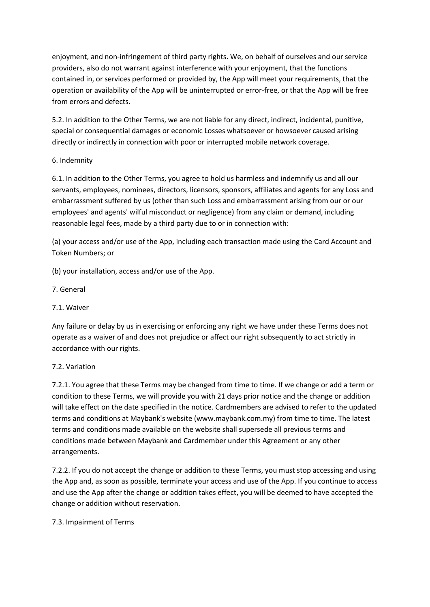enjoyment, and non-infringement of third party rights. We, on behalf of ourselves and our service providers, also do not warrant against interference with your enjoyment, that the functions contained in, or services performed or provided by, the App will meet your requirements, that the operation or availability of the App will be uninterrupted or error-free, or that the App will be free from errors and defects.

5.2. In addition to the Other Terms, we are not liable for any direct, indirect, incidental, punitive, special or consequential damages or economic Losses whatsoever or howsoever caused arising directly or indirectly in connection with poor or interrupted mobile network coverage.

# 6. Indemnity

6.1. In addition to the Other Terms, you agree to hold us harmless and indemnify us and all our servants, employees, nominees, directors, licensors, sponsors, affiliates and agents for any Loss and embarrassment suffered by us (other than such Loss and embarrassment arising from our or our employees' and agents' wilful misconduct or negligence) from any claim or demand, including reasonable legal fees, made by a third party due to or in connection with:

(a) your access and/or use of the App, including each transaction made using the Card Account and Token Numbers; or

(b) your installation, access and/or use of the App.

- 7. General
- 7.1. Waiver

Any failure or delay by us in exercising or enforcing any right we have under these Terms does not operate as a waiver of and does not prejudice or affect our right subsequently to act strictly in accordance with our rights.

# 7.2. Variation

7.2.1. You agree that these Terms may be changed from time to time. If we change or add a term or condition to these Terms, we will provide you with 21 days prior notice and the change or addition will take effect on the date specified in the notice. Cardmembers are advised to refer to the updated terms and conditions at Maybank's website (www.maybank.com.my) from time to time. The latest terms and conditions made available on the website shall supersede all previous terms and conditions made between Maybank and Cardmember under this Agreement or any other arrangements.

7.2.2. If you do not accept the change or addition to these Terms, you must stop accessing and using the App and, as soon as possible, terminate your access and use of the App. If you continue to access and use the App after the change or addition takes effect, you will be deemed to have accepted the change or addition without reservation.

# 7.3. Impairment of Terms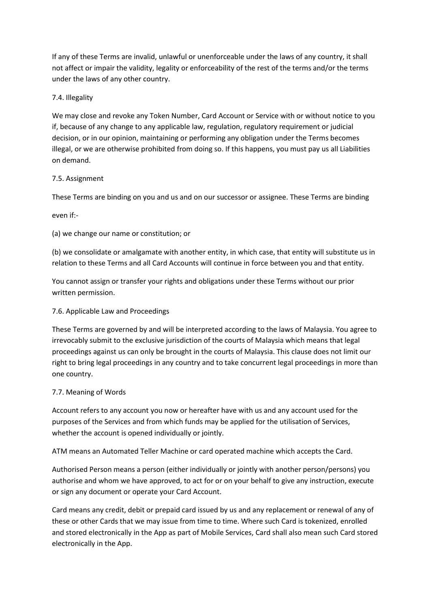If any of these Terms are invalid, unlawful or unenforceable under the laws of any country, it shall not affect or impair the validity, legality or enforceability of the rest of the terms and/or the terms under the laws of any other country.

# 7.4. Illegality

We may close and revoke any Token Number, Card Account or Service with or without notice to you if, because of any change to any applicable law, regulation, regulatory requirement or judicial decision, or in our opinion, maintaining or performing any obligation under the Terms becomes illegal, or we are otherwise prohibited from doing so. If this happens, you must pay us all Liabilities on demand.

# 7.5. Assignment

These Terms are binding on you and us and on our successor or assignee. These Terms are binding

even if:-

(a) we change our name or constitution; or

(b) we consolidate or amalgamate with another entity, in which case, that entity will substitute us in relation to these Terms and all Card Accounts will continue in force between you and that entity.

You cannot assign or transfer your rights and obligations under these Terms without our prior written permission.

# 7.6. Applicable Law and Proceedings

These Terms are governed by and will be interpreted according to the laws of Malaysia. You agree to irrevocably submit to the exclusive jurisdiction of the courts of Malaysia which means that legal proceedings against us can only be brought in the courts of Malaysia. This clause does not limit our right to bring legal proceedings in any country and to take concurrent legal proceedings in more than one country.

# 7.7. Meaning of Words

Account refers to any account you now or hereafter have with us and any account used for the purposes of the Services and from which funds may be applied for the utilisation of Services, whether the account is opened individually or jointly.

ATM means an Automated Teller Machine or card operated machine which accepts the Card.

Authorised Person means a person (either individually or jointly with another person/persons) you authorise and whom we have approved, to act for or on your behalf to give any instruction, execute or sign any document or operate your Card Account.

Card means any credit, debit or prepaid card issued by us and any replacement or renewal of any of these or other Cards that we may issue from time to time. Where such Card is tokenized, enrolled and stored electronically in the App as part of Mobile Services, Card shall also mean such Card stored electronically in the App.